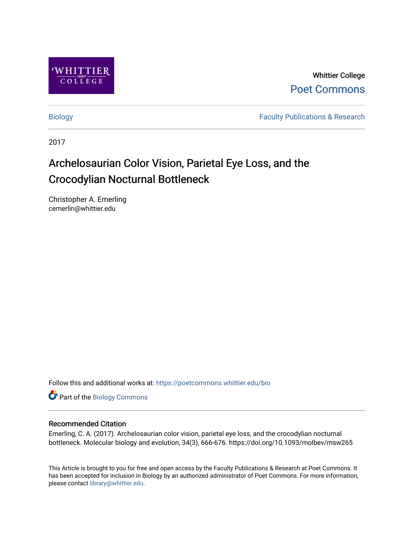

Whittier College [Poet Commons](https://poetcommons.whittier.edu/) 

[Biology](https://poetcommons.whittier.edu/bio) **Faculty Publications & Research** 

2017

# Archelosaurian Color Vision, Parietal Eye Loss, and the Crocodylian Nocturnal Bottleneck

Christopher A. Emerling cemerlin@whittier.edu

Follow this and additional works at: [https://poetcommons.whittier.edu/bio](https://poetcommons.whittier.edu/bio?utm_source=poetcommons.whittier.edu%2Fbio%2F26&utm_medium=PDF&utm_campaign=PDFCoverPages)

Part of the [Biology Commons](http://network.bepress.com/hgg/discipline/41?utm_source=poetcommons.whittier.edu%2Fbio%2F26&utm_medium=PDF&utm_campaign=PDFCoverPages) 

#### Recommended Citation

Emerling, C. A. (2017). Archelosaurian color vision, parietal eye loss, and the crocodylian nocturnal bottleneck. Molecular biology and evolution, 34(3), 666-676. https://doi.org/10.1093/molbev/msw265

This Article is brought to you for free and open access by the Faculty Publications & Research at Poet Commons. It has been accepted for inclusion in Biology by an authorized administrator of Poet Commons. For more information, please contact [library@whittier.edu](mailto:library@whittier.edu).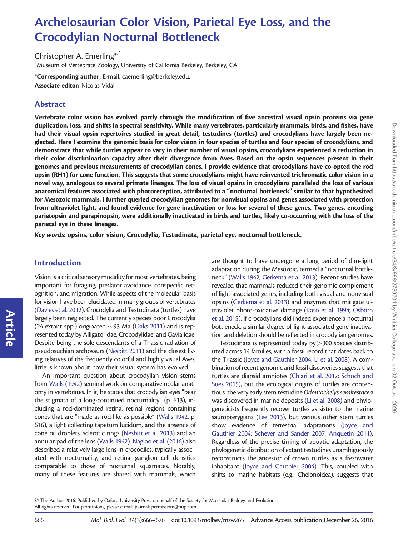## Archelosaurian Color Vision, Parietal Eye Loss, and the Crocodylian Nocturnal Bottleneck

Christopher A. Emerling<sup>\*,1</sup> <sup>1</sup>Museum of Vertebrate Zoology, University of California Berkeley, Berkeley, CA

\*Corresponding author: E-mail: caemerling@berkeley.edu. Associate editor: Nicolas Vidal

## Abstract

Vertebrate color vision has evolved partly through the modification of five ancestral visual opsin proteins via gene duplication, loss, and shifts in spectral sensitivity. While many vertebrates, particularly mammals, birds, and fishes, have had their visual opsin repertoires studied in great detail, testudines (turtles) and crocodylians have largely been neglected. Here I examine the genomic basis for color vision in four species of turtles and four species of crocodylians, and demonstrate that while turtles appear to vary in their number of visual opsins, crocodylians experienced a reduction in their color discrimination capacity after their divergence from Aves. Based on the opsin sequences present in their genomes and previous measurements of crocodylian cones, I provide evidence that crocodylians have co-opted the rod opsin (RH1) for cone function. This suggests that some crocodylians might have reinvented trichromatic color vision in a novel way, analogous to several primate lineages. The loss of visual opsins in crocodylians paralleled the loss of various anatomical features associated with photoreception, attributed to a "nocturnal bottleneck" similar to that hypothesized for Mesozoic mammals. I further queried crocodylian genomes for nonvisual opsins and genes associated with protection from ultraviolet light, and found evidence for gene inactivation or loss for several of these genes. Two genes, encoding parietopsin and parapinopsin, were additionally inactivated in birds and turtles, likely co-occurring with the loss of the parietal eye in these lineages.

Key words: opsins, color vision, Crocodylia, Testudinata, parietal eye, nocturnal bottleneck.

## Introduction

Article

Vision is a critical sensory modality for most vertebrates, being important for foraging, predator avoidance, conspecific recognition, and migration. While aspects of the molecular basis for vision have been elucidated in many groups of vertebrates ([Davies et al. 2012](#page-9-0)), Crocodylia and Testudinata (turtles) have largely been neglected. The currently species poor Crocodylia (24 extant spp.) originated  $\sim$ 93 Ma ([Oaks 2011\)](#page-10-0) and is represented today by Alligatoridae, Crocodylidae, and Gavialidae. Despite being the sole descendants of a Triassic radiation of pseudosuchian archosaurs [\(Nesbitt 2011](#page-10-0)) and the closest living relatives of the frequently colorful and highly visual Aves, little is known about how their visual system has evolved.

An important question about crocodylian vision stems from [Walls \(1942\)](#page-11-0) seminal work on comparative ocular anatomy in vertebrates. In it, he states that crocodylian eyes "bear the stigmata of a long-continued nocturnality" (p. 613), including a rod-dominated retina, retinal regions containing cones that are "made as rod-like as possible" ([Walls 1942](#page-11-0), p. 616), a light collecting tapetum lucidum, and the absence of cone oil droplets, sclerotic rings ([Nesbitt et al. 2013](#page-10-0)) and an annular pad of the lens ([Walls 1942](#page-11-0)). [Nagloo et al. \(2016\)](#page-10-0) also described a relatively large lens in crocodiles, typically associated with nocturnality, and retinal ganglion cell densities comparable to those of nocturnal squamates. Notably, many of these features are shared with mammals, which

are thought to have undergone a long period of dim-light adaptation during the Mesozoic, termed a "nocturnal bottleneck" ([Walls 1942;](#page-11-0) [Gerkema et al. 2013](#page-9-0)). Recent studies have revealed that mammals reduced their genomic complement of light-associated genes, including both visual and nonvisual opsins [\(Gerkema et al. 2013](#page-9-0)) and enzymes that mitigate ultraviolet photo-oxidative damage [\(Kato et al. 1994](#page-10-0); [Osborn](#page-10-0) [et al. 2015](#page-10-0)). If crocodylians did indeed experience a nocturnal bottleneck, a similar degree of light-associated gene inactivation and deletion should be reflected in crocodylian genomes.

Testudinata is represented today by  $>$  300 species distributed across 14 families, with a fossil record that dates back to the Triassic [\(Joyce and Gauthier 2004](#page-10-0); [Li et al. 2008](#page-10-0)). A combination of recent genomic and fossil discoveries suggests that turtles are diapsid amniotes [\(Chiari et al. 2012](#page-9-0); [Schoch and](#page-10-0) [Sues 2015](#page-10-0)), but the ecological origins of turtles are contentious: the very early stem testudine Odontochelys semitestacea was discovered in marine deposits [\(Li et al. 2008](#page-10-0)) and phylogeneticists frequently recover turtles as sister to the marine sauropterygians [\(Lee 2013\)](#page-10-0), but various other stem turtles show evidence of terrestrial adaptations [\(Joyce and](#page-10-0) [Gauthier 2004;](#page-10-0) [Scheyer and Sander 2007](#page-10-0); [Anquetin 2011\)](#page-9-0). Regardless of the precise timing of aquatic adaptation, the phylogenetic distribution of extant testudines unambiguously reconstructs the ancestor of crown turtles as a freshwater inhabitant [\(Joyce and Gauthier 2004\)](#page-10-0). This, coupled with shifts to marine habitats (e.g., Chelonoidea), suggests that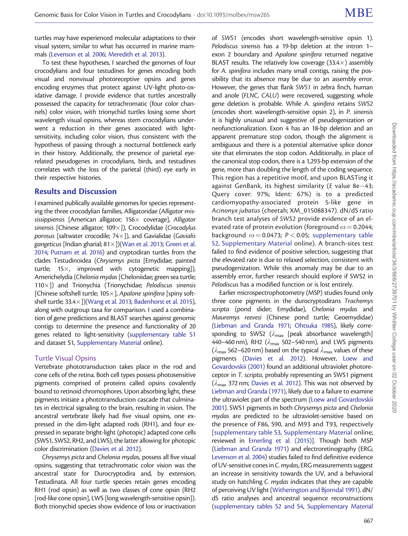turtles may have experienced molecular adaptations to their visual system, similar to what has occurred in marine mammals [\(Levenson et al. 2006](#page-10-0); [Meredith et al. 2013\)](#page-10-0).

To test these hypotheses, I searched the genomes of four crocodylians and four testudines for genes encoding both visual and nonvisual photoreceptive opsins and genes encoding enzymes that protect against UV-light photo-oxidative damage. I provide evidence that turtles ancestrally possessed the capacity for tetrachromatic (four color channels) color vision, with trionychid turtles losing some short wavelength visual opsins, whereas stem crocodylians underwent a reduction in their genes associated with lightsensitivity, including color vision, thus consistent with the hypothesis of passing through a nocturnal bottleneck early in their history. Additionally, the presence of parietal eyerelated pseudogenes in crocodylians, birds, and testudines correlates with the loss of the parietal (third) eye early in their respective histories.

#### Results and Discussion

I examined publically available genomes for species representing the three crocodylian families, Alligatoridae (Alligator mississippiensis [American alligator;  $156\times$  coverage], Alligator sinensis [Chinese alligator;  $109\times$ ]), Crocodylidae (Crocodylus porosus [saltwater crocodile;  $74\times$ ]), and Gavialidae (Gavialis gangeticus [Indian gharial;  $81\times$ ])[\(Wan et al. 2013;](#page-11-0) [Green et al.](#page-9-0) [2014;](#page-9-0) [Putnam et al. 2016](#page-10-0)) and cryptodiran turtles from the clades Testudinoidea (Chrysemys picta [Emydidae; painted turtle;  $15\times$ , improved with cytogenetic mapping]), Americhelydia (Chelonia mydas [Cheloniidae; green sea turtle; 110 $\times$ ]) and Trionychia (Trionychidae; Pelodiscus sinensis [Chinese softshell turtle;  $105\times$ ], Apalone spinifera [spiny softshell turtle;  $33.4 \times$ ])[\(Wang et al. 2013;](#page-11-0) [Badenhorst et al. 2015\)](#page-9-0), along with outgroup taxa for comparison. I used a combination of gene predictions and BLAST searches against genomic contigs to determine the presence and functionality of 20 genes related to light-sensitivity [\(supplementary table S1](http://mbe.oxfordjournals.org/lookup/suppl/doi:10.1093/molbev/msw265/-/DC1) and dataset S1, [Supplementary Material](http://mbe.oxfordjournals.org/lookup/suppl/doi:10.1093/molbev/msw265/-/DC1) online).

#### Turtle Visual Opsins

Vertebrate phototransduction takes place in the rod and cone cells of the retina. Both cell types possess photosensitive pigments comprised of proteins called opsins covalently bound to retinoid chromophores. Upon absorbing light, these pigments initiate a phototransduction cascade that culminates in electrical signaling to the brain, resulting in vision. The ancestral vertebrate likely had five visual opsins, one expressed in the dim-light adapted rods (RH1), and four expressed in separate bright-light (photopic) adapted cone cells (SWS1, SWS2, RH2, and LWS), the latter allowing for photopic color discrimination ([Davies et al. 2012](#page-9-0)).

Chrysemys picta and Chelonia mydas, possess all five visual opsins, suggesting that tetrachromatic color vision was the ancestral state for Durocryptodira and, by extension, Testudinata. All four turtle species retain genes encoding RH1 (rod opsin) as well as two classes of cone opsin (RH2 [rod-like cone opsin], LWS [long wavelength-sensitive opsin]). Both trionychid species show evidence of loss or inactivation of SWS1 (encodes short wavelength-sensitive opsin 1). Pelodiscus sinensis has a 19-bp deletion at the intron 1– exon 2 boundary and Apalone spinifera returned negative BLAST results. The relatively low coverage  $(33.4\times)$  assembly for A. spinifera includes many small contigs, raising the possibility that its absence may be due to an assembly error. However, the genes that flank SWS1 in zebra finch, human and anole (FLNC, CALU) were recovered, suggesting whole gene deletion is probable. While A. spinifera retains SWS2 (encodes short wavelength-sensitive opsin 2), in P. sinensis it is highly unusual and suggestive of pseudogenization or neofunctionalization. Exon 4 has an 18-bp deletion and an apparent premature stop codon, though the alignment is ambiguous and there is a potential alternative splice donor site that eliminates the stop codon. Additionally, in place of the canonical stop codon, there is a 1,293-bp extension of the gene, more than doubling the length of the coding sequence. This region has a repetitive motif, and upon BLASTing it against GenBank, its highest similarity ( $E$  value 8e-43; Query cover: 97%; Ident: 67%) is to a predicted cardiomyopathy-associated protein 5-like gene in Acinonyx jubatus (cheetah; XM\_015088347). dN/dS ratio branch test analyses of SWS2 provide evidence of an elevated rate of protein evolution (foreground  $\omega$  = 0.2044; background  $\omega = 0.0473$ ; P < 0.05; [supplementary table](http://mbe.oxfordjournals.org/lookup/suppl/doi:10.1093/molbev/msw265/-/DC1) [S2,](http://mbe.oxfordjournals.org/lookup/suppl/doi:10.1093/molbev/msw265/-/DC1) [Supplementary Material](http://mbe.oxfordjournals.org/lookup/suppl/doi:10.1093/molbev/msw265/-/DC1) online). A branch-sites test failed to find evidence of positive selection, suggesting that the elevated rate is due to relaxed selection, consistent with pseudogenization. While this anomaly may be due to an assembly error, further research should explore if SWS2 in Pelodiscus has a modified function or is lost entirely.

Earlier microspectrophotometry (MSP) studies found only three cone pigments in the durocryptodirans Trachemys scripta (pond slider; Emydidae), Chelonia mydas and Mauremys reevesi (Chinese pond turtle; Geoemydidae) [\(Liebman and Granda 1971](#page-10-0); [Ohtsuka 1985\)](#page-10-0), likely corresponding to SWS2 ( $\lambda_{\text{max}}$  [peak absorbance wavelength] 440–460 nm), RH2 ( $\lambda_{\text{max}}$  502–540 nm), and LWS pigments  $(\lambda_{\text{max}}$  562–620 nm) based on the typical  $\lambda_{\text{max}}$  values of these pigments [\(Davies et al. 2012](#page-9-0)). However, [Loew and](#page-10-0) [Govardovskii \(2001\)](#page-10-0) found an additional ultraviolet photoreceptor in T. scripta, probably representing an SWS1 pigment  $(\lambda_{\text{max}}$  372 nm; [Davies et al. 2012\)](#page-9-0). This was not observed by [Liebman and Granda \(1971\)](#page-10-0), likely due to a failure to examine the ultraviolet part of the spectrum [\(Loew and Govardovskii](#page-10-0) [2001\)](#page-10-0). SWS1 pigments in both Chrysemys picta and Chelonia mydas are predicted to be ultraviolet-sensitive based on the presence of F86, S90, and M93 and T93, respectively [[supplementary table S3,](http://mbe.oxfordjournals.org/lookup/suppl/doi:10.1093/molbev/msw265/-/DC1) [Supplementary Material](http://mbe.oxfordjournals.org/lookup/suppl/doi:10.1093/molbev/msw265/-/DC1) online; reviewed in [Emerling et al. \(2015\)](#page-9-0)]. Though both MSP [\(Liebman and Granda 1971](#page-10-0)) and electroretinography (ERG; [Levenson et al. 2004\)](#page-10-0) studies failed to find definitive evidence of UV-sensitive cones in C. mydas, ERG measurements suggest an increase in sensitivity towards the UV, and a behavioral study on hatchling C. mydas indicates that they are capable of perceiving UV light [\(Witherington and Bjorndal 1991](#page-11-0)). dN/ dS ratio analyses and ancestral sequence reconstructions [\(supplementary tables S2 and S4,](http://mbe.oxfordjournals.org/lookup/suppl/doi:10.1093/molbev/msw265/-/DC1) [Supplementary Material](http://mbe.oxfordjournals.org/lookup/suppl/doi:10.1093/molbev/msw265/-/DC1)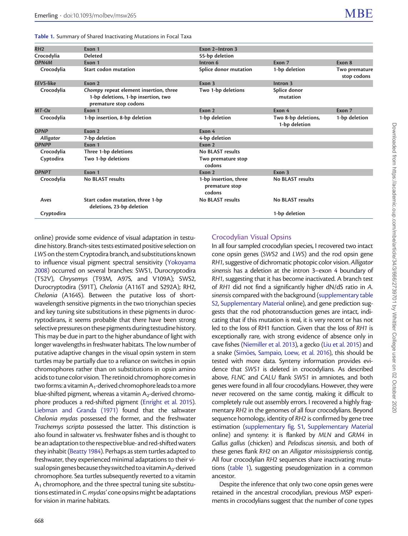<span id="page-3-0"></span>

| Table 1. Summary of Shared Inactivating Mutations in Focal Taxa |
|-----------------------------------------------------------------|
|-----------------------------------------------------------------|

| RH <sub>2</sub>  | Exon 1                                                                                                 | Exon 2-Intron 3                                   |                                      |                              |
|------------------|--------------------------------------------------------------------------------------------------------|---------------------------------------------------|--------------------------------------|------------------------------|
| Crocodylia       | <b>Deleted</b>                                                                                         | 55-bp deletion                                    |                                      |                              |
| OPN4M            | Exon 1                                                                                                 | Intron 6                                          | Exon 7                               | Exon 8                       |
| Crocodylia       | <b>Start codon mutation</b>                                                                            | Splice donor mutation                             | 1-bp deletion                        | Two premature<br>stop codons |
| <b>EEVS-like</b> | Exon 2                                                                                                 | Exon 3                                            | Intron <sub>3</sub>                  |                              |
| Crocodylia       | Chompy repeat element insertion, three<br>1-bp deletions, 1-bp insertion, two<br>premature stop codons | Two 1-bp deletions                                | Splice donor<br>mutation             |                              |
| MT-Ox            | Exon 1                                                                                                 | Exon 2                                            | Exon 4                               | Exon 7                       |
| Crocodylia       | 1-bp insertion, 8-bp deletion                                                                          | 1-bp deletion                                     | Two 8-bp deletions,<br>1-bp deletion | 1-bp deletion                |
| <b>OPNP</b>      | Exon 2                                                                                                 | Exon 4                                            |                                      |                              |
| Alligator        | 7-bp deletion                                                                                          | 4-bp deletion                                     |                                      |                              |
| <b>OPNPP</b>     | Exon 1                                                                                                 | Exon 2                                            |                                      |                              |
| Crocodylia       | Three 1-bp deletions                                                                                   | No BLAST results                                  |                                      |                              |
| Cyptodira        | Two 1-bp deletions                                                                                     | Two premature stop<br>codons                      |                                      |                              |
| <b>OPNPT</b>     | Exon 1                                                                                                 | Exon 2                                            | Exon 3                               |                              |
| Crocodylia       | <b>No BLAST results</b>                                                                                | 1-bp insertion, three<br>premature stop<br>codons | No BLAST results                     |                              |
| Aves             | Start codon mutation, three 1-bp<br>deletions, 23-bp deletion                                          | No BLAST results                                  | <b>No BLAST results</b>              |                              |
| Cryptodira       |                                                                                                        |                                                   | 1-bp deletion                        |                              |
|                  |                                                                                                        |                                                   |                                      |                              |

online) provide some evidence of visual adaptation in testudine history. Branch-sites tests estimated positive selection on LWS on the stem Cryptodira branch, and substitutions known to influence visual pigment spectral sensitivity [\(Yokoyama](#page-11-0) [2008](#page-11-0)) occurred on several branches: SWS1, Durocryptodira (T52V), Chrysemys (T93M, A97S, and V109A); SWS2, Durocryptodira (S91T), Chelonia (A116T and S292A); RH2, Chelonia (A164S). Between the putative loss of shortwavelength sensitive pigments in the two trionychian species and key tuning site substitutions in these pigments in durocryptodirans, it seems probable that there have been strong selective pressures on these pigments during testudine history. This may be due in part to the higher abundance of light with longer wavelengths in freshwater habitats. The low number of putative adaptive changes in the visual opsin system in stem turtles may be partially due to a reliance on switches in opsin chromophores rather than on substitutions in opsin amino acids to tune color vision. The retinoid chromophore comes in two forms: a vitamin A<sub>1</sub>-derived chromophore leads to a more blue-shifted pigment, whereas a vitamin  $A_2$ -derived chromophore produces a red-shifted pigment [\(Enright et al. 2015\)](#page-9-0). [Liebman and Granda \(1971\)](#page-10-0) found that the saltwater Chelonia mydas possessed the former, and the freshwater Trachemys scripta possessed the latter. This distinction is also found in saltwater vs. freshwater fishes and is thought to bean adaptation to the respectiveblue- and red-shifted waters they inhabit [\(Beatty 1984\)](#page-9-0). Perhaps as stem turtles adapted to freshwater, they experienced minimal adaptations to their visual opsingenes because they switched to a vitamin A<sub>2</sub>-derived chromophore. Sea turtles subsequently reverted to a vitamin  $A_1$  chromophore, and the three spectral tuning site substitutions estimated in C. mydas' cone opsins might be adaptations for vision in marine habitats.

## Crocodylian Visual Opsins

In all four sampled crocodylian species, I recovered two intact cone opsin genes (SWS2 and LWS) and the rod opsin gene RH1, suggestive of dichromatic photopic color vision. Alligator sinensis has a deletion at the intron 3–exon 4 boundary of RH1, suggesting that it has become inactivated. A branch test of RH1 did not find a significantly higher dN/dS ratio in A. sinensis compared with the background ([supplementary table](http://mbe.oxfordjournals.org/lookup/suppl/doi:10.1093/molbev/msw265/-/DC1) [S2](http://mbe.oxfordjournals.org/lookup/suppl/doi:10.1093/molbev/msw265/-/DC1), [Supplementary Material](http://mbe.oxfordjournals.org/lookup/suppl/doi:10.1093/molbev/msw265/-/DC1) online), and gene prediction suggests that the rod phototransduction genes are intact, indicating that if this mutation is real, it is very recent or has not led to the loss of RH1 function. Given that the loss of RH1 is exceptionally rare, with strong evidence of absence only in cave fishes [\(Niemiller et al. 2013\)](#page-10-0), a gecko [\(Liu et al. 2015](#page-10-0)) and a snake ([Sim](#page-10-0)ões, Sampaio, Loew, et al. 2016), this should be tested with more data. Synteny information provides evidence that SWS1 is deleted in crocodylians. As described above, FLNC and CALU flank SWS1 in amniotes, and both genes were found in all four crocodylians. However, they were never recovered on the same contig, making it difficult to completely rule out assembly errors. I recovered a highly fragmentary RH2 in the genomes of all four crocodylians. Beyond sequence homology, identity of RH2 is confirmed by gene tree estimation ([supplementary fig. S1](http://mbe.oxfordjournals.org/lookup/suppl/doi:10.1093/molbev/msw265/-/DC1), [Supplementary Material](http://mbe.oxfordjournals.org/lookup/suppl/doi:10.1093/molbev/msw265/-/DC1) online) and synteny: it is flanked by MLN and GRM4 in Gallus gallus (chicken) and Pelodiscus sinensis, and both of these genes flank RH2 on an Alligator mississippiensis contig. All four crocodylian RH2 sequences share inactivating mutations (table 1), suggesting pseudogenization in a common ancestor.

Despite the inference that only two cone opsin genes were retained in the ancestral crocodylian, previous MSP experiments in crocodylians suggest that the number of cone types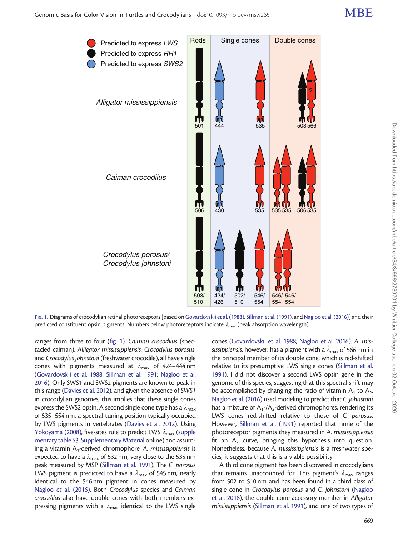<span id="page-4-0"></span>

FIG. 1. Diagrams of crocodylian retinal photoreceptors [based on [Govardovskii et al. \(1988\),](#page-9-0) [Sillman et al. \(1991\),](#page-10-0) and [Nagloo et al. \(2016\)](#page-10-0)] and their predicted constituent opsin pigments. Numbers below photoreceptors indicate  $\lambda_{\text{max}}$  (peak absorption wavelength).

ranges from three to four (fig. 1). Caiman crocodilus (spectacled caiman), Alligator mississippiensis, Crocodylus porosus, and Crocodylus johnstoni (freshwater crocodile), all have single cones with pigments measured at  $\lambda_{\text{max}}$  of 424–444 nm ([Govardovskii et al. 1988](#page-9-0); [Sillman et al. 1991](#page-10-0); [Nagloo et al.](#page-10-0) [2016\)](#page-10-0). Only SWS1 and SWS2 pigments are known to peak in this range [\(Davies et al. 2012](#page-9-0)), and given the absence of SWS1 in crocodylian genomes, this implies that these single cones express the SWS2 opsin. A second single cone type has a  $\lambda_{\text{max}}$ of 535–554 nm, a spectral tuning position typically occupied by LWS pigments in vertebrates [\(Davies et al. 2012](#page-9-0)). Using [Yokoyama \(2008\),](#page-11-0) five-sites rule to predict LWS  $\lambda_{\text{max}}$  [\(supple](http://mbe.oxfordjournals.org/lookup/suppl/doi:10.1093/molbev/msw265/-/DC1) [mentary table S3,](http://mbe.oxfordjournals.org/lookup/suppl/doi:10.1093/molbev/msw265/-/DC1) [Supplementary Material](http://mbe.oxfordjournals.org/lookup/suppl/doi:10.1093/molbev/msw265/-/DC1) online) and assuming a vitamin  $A_1$ -derived chromophore, A. mississippiensis is expected to have a  $\lambda_{\text{max}}$  of 532 nm, very close to the 535 nm peak measured by MSP [\(Sillman et al. 1991\)](#page-10-0). The C. porosus LWS pigment is predicted to have a  $\lambda_{\text{max}}$  of 545 nm, nearly identical to the 546 nm pigment in cones measured by [Nagloo et al. \(2016\)](#page-10-0). Both Crocodylus species and Caiman crocodilus also have double cones with both members expressing pigments with a  $\lambda_{\text{max}}$  identical to the LWS single

cones [\(Govardovskii et al. 1988](#page-9-0); [Nagloo et al. 2016\)](#page-10-0). A. mississippiensis, however, has a pigment with a  $\lambda_{\text{max}}$  of 566 nm in the principal member of its double cone, which is red-shifted relative to its presumptive LWS single cones [\(Sillman et al.](#page-10-0) [1991\)](#page-10-0). I did not discover a second LWS opsin gene in the genome of this species, suggesting that this spectral shift may be accomplished by changing the ratio of vitamin  $A_1$  to  $A_2$ . [Nagloo et al. \(2016\)](#page-10-0) used modeling to predict that C. johnstoni has a mixture of  $A_1$ -/ $A_2$ -derived chromophores, rendering its LWS cones red-shifted relative to those of C. porosus. However, [Sillman et al. \(1991\)](#page-10-0) reported that none of the photoreceptor pigments they measured in A. mississippiensis fit an  $A_2$  curve, bringing this hypothesis into question. Nonetheless, because A. mississippiensis is a freshwater species, it suggests that this is a viable possibility.

A third cone pigment has been discovered in crocodylians that remains unaccounted for. This pigment's  $\lambda_{\text{max}}$  ranges from 502 to 510 nm and has been found in a third class of single cone in Crocodylus porosus and C. johnstoni [\(Nagloo](#page-10-0) [et al. 2016\)](#page-10-0), the double cone accessory member in Alligator mississippiensis [\(Sillman et al. 1991\)](#page-10-0), and one of two types of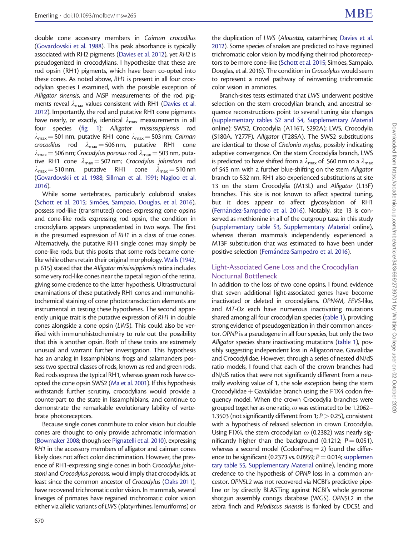double cone accessory members in Caiman crocodilus ([Govardovskii et al. 1988](#page-9-0)). This peak absorbance is typically associated with RH2 pigments [\(Davies et al. 2012\)](#page-9-0), yet RH2 is pseudogenized in crocodylians. I hypothesize that these are rod opsin (RH1) pigments, which have been co-opted into these cones. As noted above, RH1 is present in all four crocodylian species I examined, with the possible exception of Alligator sinensis, and MSP measurements of the rod pigments reveal  $\lambda_{\text{max}}$  values consistent with RH1 [\(Davies et al.](#page-9-0) [2012\)](#page-9-0). Importantly, the rod and putative RH1 cone pigments have nearly, or exactly, identical  $\lambda_{\text{max}}$  measurements in all four species ([fig. 1\)](#page-4-0): Alligator mississippiensis rod  $\lambda_{\text{max}}$  = 501 nm, putative RH1 cone  $\lambda_{\text{max}}$  = 503 nm; Caiman crocodilus rod  $\lambda_{\text{max}} = 506 \text{ nm}$ , putative RH1 cone  $\lambda_{\text{max}}$  = 506 nm; Crocodylus porosus rod  $\lambda_{\text{max}}$  = 503 nm, putative RH1 cone  $\lambda_{\text{max}} = 502 \text{ nm}$ ; Crocodylus johnstoni rod  $\lambda_{\text{max}} = 510 \text{ nm}$ , putative RH1 cone  $\lambda_{\text{max}} = 510 \text{ nm}$ ([Govardovskii et al. 1988](#page-9-0); [Sillman et al. 1991](#page-10-0); [Nagloo et al.](#page-10-0) [2016\)](#page-10-0).

While some vertebrates, particularly colubroid snakes ([Schott et al. 2015;](#page-10-0) [Sim](#page-10-0)ões, Sampaio, Douglas, et al. 2016), possess rod-like (transmuted) cones expressing cone opsins and cone-like rods expressing rod opsin, the condition in crocodylians appears unprecedented in two ways. The first is the presumed expression of RH1 in a class of true cones. Alternatively, the putative RH1 single cones may simply be cone-like rods, but this posits that some rods became conelike while others retain their original morphology. [Walls \(1942,](#page-11-0) p. 615) stated that the Alligator mississippiensis retina includes some very rod-like cones near the tapetal region of the retina, giving some credence to the latter hypothesis. Ultrastructural examinations of these putatively RH1 cones and immunohistochemical staining of cone phototransduction elements are instrumental in testing these hypotheses. The second apparently unique trait is the putative expression of RH1 in double cones alongside a cone opsin (LWS). This could also be verified with immunohistochemistry to rule out the possibility that this is another opsin. Both of these traits are extremely unusual and warrant further investigation. This hypothesis has an analog in lissamphibians: frogs and salamanders possess two spectral classes of rods, known as red and green rods. Red rods express the typical RH1, whereas green rods have coopted the cone opsin SWS2 ([Ma et al. 2001\)](#page-10-0). If this hypothesis withstands further scrutiny, crocodylians would provide a counterpart to the state in lissamphibians, and continue to demonstrate the remarkable evolutionary lability of vertebrate photoreceptors.

Because single cones contribute to color vision but double cones are thought to only provide achromatic information ([Bowmaker 2008](#page-9-0); though see [Pignatelli et al. 2010\)](#page-10-0), expressing RH1 in the accessory members of alligator and caiman cones likely does not affect color discrimination. However, the presence of RH1-expressing single cones in both Crocodylus johnstoni and Crocodylus porosus, would imply that crocodylids, at least since the common ancestor of Crocodylus [\(Oaks 2011\)](#page-10-0), have recovered trichromatic color vision. In mammals, several lineages of primates have regained trichromatic color vision either via allelic variants of LWS (platyrrhines, lemuriforms) or

the duplication of LWS (Alouatta, catarrhines; [Davies et al.](#page-9-0) [2012\)](#page-9-0). Some species of snakes are predicted to have regained trichromatic color vision by modifying their rod photorecep-tors to be more cone-like [\(Schott et al. 2015;](#page-10-0) Simões, Sampaio, Douglas, et al. 2016). The condition in Crocodylus would seem to represent a novel pathway of reinventing trichromatic color vision in amniotes.

Branch-sites tests estimated that LWS underwent positive selection on the stem crocodylian branch, and ancestral sequence reconstructions point to several tuning site changes [\(supplementary tables S2 and S4,](http://mbe.oxfordjournals.org/lookup/suppl/doi:10.1093/molbev/msw265/-/DC1) [Supplementary Material](http://mbe.oxfordjournals.org/lookup/suppl/doi:10.1093/molbev/msw265/-/DC1) online): SWS2, Crocodylia (A116T, S292A); LWS, Crocodylia (S180A, Y277F), Alligator (T285A). The SWS2 substitutions are identical to those of Chelonia mydas, possibly indicating adaptive convergence. On the stem Crocodylia branch, LWS is predicted to have shifted from a  $\lambda_{\text{max}}$  of 560 nm to a  $\lambda_{\text{max}}$ of 545 nm with a further blue-shifting on the stem Alligator branch to 532 nm. RH1 also experienced substitutions at site 13 on the stem Crocodylia (M13L) and Alligator (L13F) branches. This site is not known to affect spectral tuning, but it does appear to affect glycosylation of RH1 [\(Fern](#page-9-0)á[ndez-Sampedro et al. 2016](#page-9-0)). Notably, site 13 is conserved as methionine in all of the outgroup taxa in this study [\(supplementary table S3](http://mbe.oxfordjournals.org/lookup/suppl/doi:10.1093/molbev/msw265/-/DC1), [Supplementary Material](http://mbe.oxfordjournals.org/lookup/suppl/doi:10.1093/molbev/msw265/-/DC1) online), whereas therian mammals independently experienced a M13F substitution that was estimated to have been under positive selection [\(Fern](#page-9-0)á[ndez-Sampedro et al. 2016](#page-9-0)).

#### Light-Associated Gene Loss and the Crocodylian Nocturnal Bottleneck

In addition to the loss of two cone opsins, I found evidence that seven additional light-associated genes have become inactivated or deleted in crocodylians. OPN4M, EEVS-like, and MT-Ox each have numerous inactivating mutations shared among all four crocodylian species ([table 1](#page-3-0)), providing strong evidence of pseudogenization in their common ancestor. OPNP is a pseudogene in all four species, but only the two Alligator species share inactivating mutations [\(table 1\)](#page-3-0), possibly suggesting independent loss in Alligatorinae, Gavialidae and Crocodylidae. However, through a series of nested dN/dS ratio models, I found that each of the crown branches had dN/dS ratios that were not significantly different from a neutrally evolving value of 1, the sole exception being the stem Crocodylidae  $+$  Gavialidae branch using the F1X4 codon frequency model. When the crown Crocodylia branches were grouped together as one ratio,  $\omega$  was estimated to be 1.2062– 1.3503 (not significantly different from 1;  $P > 0.25$ ), consistent with a hypothesis of relaxed selection in crown Crocodylia. Using F1X4, the stem crocodylian  $\omega$  (0.2382) was nearly significantly higher than the background (0.1212;  $P = 0.051$ ), whereas a second model (CodonFreq  $=$  2) found the difference to be significant (0.2373 vs. 0.0959;  $P = 0.014$ ; [supplemen](http://mbe.oxfordjournals.org/lookup/suppl/doi:10.1093/molbev/msw265/-/DC1) [tary table S5](http://mbe.oxfordjournals.org/lookup/suppl/doi:10.1093/molbev/msw265/-/DC1), [Supplementary Material](http://mbe.oxfordjournals.org/lookup/suppl/doi:10.1093/molbev/msw265/-/DC1) online), lending more credence to the hypothesis of OPNP loss in a common ancestor. OPN5L2 was not recovered via NCBI's predictive pipeline or by directly BLASTing against NCBI's whole genome shotgun assembly contigs database (WGS). OPN5L2 in the zebra finch and Pelodiscus sinensis is flanked by CDC5L and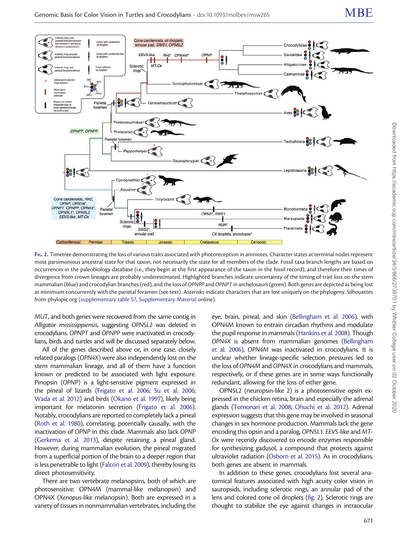<span id="page-6-0"></span>

FIG. 2. Timetree demonstrating the loss of various traits associated with photoreception in amniotes. Character states at terminal nodes represent most parsimonious ancestral state for that taxon, not necessarily the state for all members of the clade. Fossil taxa branch lengths are based on occurrences in the paleobiology database (i.e., they begin at the first appearance of the taxon in the fossil record), and therefore their times of divergence from crown lineages are probably underestimated. Highlighted branches indicate uncertainty of the timing of trait loss on the stem mammalian (blue) and crocodylian branches (red), and the loss of OPNPP andOPNPT in archelosaurs (green). Both genes are depicted as being lost at minimum concurrently with the parietal foramen (see text). Asterisks indicate characters that are lost uniquely on the phylogeny. Silhouettes from phylopic.org ([supplementary table S7](http://mbe.oxfordjournals.org/lookup/suppl/doi:10.1093/molbev/msw265/-/DC1), [Supplementary Material](http://mbe.oxfordjournals.org/lookup/suppl/doi:10.1093/molbev/msw265/-/DC1) online).

MUT, and both genes were recovered from the same contig in Alligator mississippiensis, suggesting OPN5L2 was deleted in crocodylians. OPNPT and OPNPP were inactivated in crocodylians, birds and turtles and will be discussed separately below.

All of the genes described above or, in one case, closely related paralogs (OPN4X) were also independently lost on the stem mammalian lineage, and all of them have a function known or predicted to be associated with light exposure. Pinopsin (OPNP) is a light-sensitive pigment expressed in the pineal of lizards [\(Frigato et al. 2006](#page-9-0); [Su et al. 2006;](#page-10-0) [Wada et al. 2012](#page-10-0)) and birds [\(Okano et al. 1997\)](#page-10-0), likely being important for melatonin secretion [\(Frigato et al. 2006\)](#page-9-0). Notably, crocodylians are reported to completely lack a pineal ([Roth et al. 1980](#page-10-0)), correlating, potentially causally, with the inactivation of OPNP in this clade. Mammals also lack OPNP ([Gerkema et al. 2013\)](#page-9-0), despite retaining a pineal gland. However, during mammalian evolution, the pineal migrated from a superficial portion of the brain to a deeper region that is less penetrable to light [\(Falc](#page-9-0)ón et al. 2009), thereby losing its direct photosensitivity.

There are two vertebrate melanopsins, both of which are photosensitive: OPN4M (mammal-like melanopsin) and OPN4X (Xenopus-like melanopsin). Both are expressed in a variety of tissues in nonmammalian vertebrates, including the eye, brain, pineal, and skin ([Bellingham et al. 2006\)](#page-9-0), with OPN4M known to entrain circadian rhythms and modulate the pupil response in mammals [\(Hankins et al. 2008](#page-9-0)). Though OPN4X is absent from mammalian genomes ([Bellingham](#page-9-0) [et al. 2006](#page-9-0)), OPN4M was inactivated in crocodylians. It is unclear whether lineage-specific selection pressures led to the loss of OPN4M and OPN4X in crocodylians and mammals, respectively, or if these genes are in some ways functionally redundant, allowing for the loss of either gene.

OPN5L2 (neuropsin-like 2) is a photosensitive opsin expressed in the chicken retina, brain and especially the adrenal glands [\(Tomonari et al. 2008;](#page-10-0) [Ohuchi et al. 2012](#page-10-0)). Adrenal expression suggests that this gene may be involved in seasonal changes in sex hormone production. Mammals lack the gene encoding this opsin and a paralog, OPN5L1. EEVS-like and MT-Ox were recently discovered to encode enzymes responsible for synthesizing gadusol, a compound that protects against ultraviolet radiation [\(Osborn et al. 2015](#page-10-0)). As in crocodylians, both genes are absent in mammals.

In addition to these genes, crocodylians lost several anatomical features associated with high acuity color vision in sauropsids, including sclerotic rings, an annular pad of the lens and colored cone oil droplets (fig. 2). Sclerotic rings are thought to stabilize the eye against changes in intraocular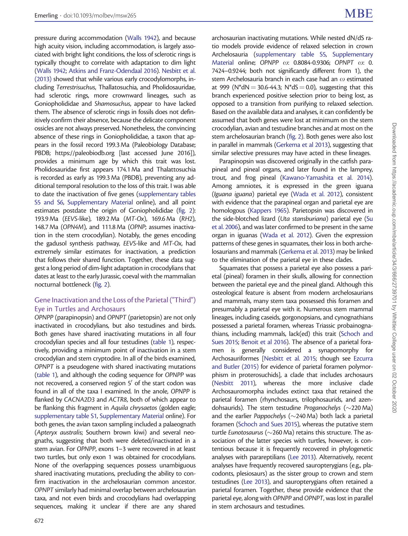pressure during accommodation ([Walls 1942](#page-11-0)), and because high acuity vision, including accommodation, is largely associated with bright light conditions, the loss of sclerotic rings is typically thought to correlate with adaptation to dim light ([Walls 1942;](#page-11-0) [Atkins and Franz-Odendaal 2016](#page-9-0)). [Nesbitt et al.](#page-10-0) [\(2013\)](#page-10-0) showed that while various early crocodylomorphs, including Terrestrisuchus, Thallatosuchia, and Pholidosauridae, had sclerotic rings, more crownward lineages, such as Goniopholididae and Shamosuchus, appear to have lacked them. The absence of sclerotic rings in fossils does not definitively confirm their absence, because the delicate component ossicles are not always preserved. Nonetheless, the convincing absence of these rings in Goniopholididae, a taxon that appears in the fossil record 199.3 Ma (Paleobiology Database; PBDB; https://paleobiodb.org [last accessed June 2016]), provides a minimum age by which this trait was lost. Pholidosauridae first appears 174.1 Ma and Thalattosuchia is recorded as early as 199.3 Ma (PBDB), preventing any additional temporal resolution to the loss of this trait. I was able to date the inactivation of five genes [\(supplementary tables](http://mbe.oxfordjournals.org/lookup/suppl/doi:10.1093/molbev/msw265/-/DC1) [S5 and S6](http://mbe.oxfordjournals.org/lookup/suppl/doi:10.1093/molbev/msw265/-/DC1), [Supplementary Material](http://mbe.oxfordjournals.org/lookup/suppl/doi:10.1093/molbev/msw265/-/DC1) online), and all point estimates postdate the origin of Goniopholididae ([fig. 2\)](#page-6-0): 193.9 Ma (EEVS-like), 189.2 Ma (MT-Ox), 169.6 Ma (RH2), 148.7 Ma (OPN4M), and 111.8 Ma (OPNP; assumes inactivation in the stem crocodylian). Notably, the genes encoding the gadusol synthesis pathway, EEVS-like and MT-Ox, had extremely similar estimates for inactivation, a prediction that follows their shared function. Together, these data suggest a long period of dim-light adaptation in crocodylians that dates at least to the early Jurassic, coeval with the mammalian nocturnal bottleneck [\(fig. 2\)](#page-6-0).

## Gene Inactivation and the Loss of the Parietal ("Third") Eye in Turtles and Archosaurs

OPNPP (parapinopsin) and OPNPT (parietopsin) are not only inactivated in crocodylians, but also testudines and birds. Both genes have shared inactivating mutations in all four crocodylian species and all four testudines [\(table 1](#page-3-0)), respectively, providing a minimum point of inactivation in a stem crocodylian and stem cryptodire. In all of the birds examined, OPNPT is a pseudogene with shared inactivating mutations ([table 1](#page-3-0)), and although the coding sequence for OPNPP was not recovered, a conserved region 5' of the start codon was found in all of the taxa I examined. In the anole, OPNPP is flanked by CACNA2D3 and ACTR8, both of which appear to be flanking this fragment in Aquila chrysaetos (golden eagle; [supplementary table S1](http://mbe.oxfordjournals.org/lookup/suppl/doi:10.1093/molbev/msw265/-/DC1), [Supplementary Material](http://mbe.oxfordjournals.org/lookup/suppl/doi:10.1093/molbev/msw265/-/DC1) online). For both genes, the avian taxon sampling included a palaeognath (Apteryx australis; Southern brown kiwi) and several neognaths, suggesting that both were deleted/inactivated in a stem avian. For OPNPP, exons 1–3 were recovered in at least two turtles, but only exon 1 was obtained for crocodylians. None of the overlapping sequences possess unambiguous shared inactivating mutations, precluding the ability to confirm inactivation in the archelosaurian common ancestor. OPNPT similarly had minimal overlap between archelosaurian taxa, and not even birds and crocodylians had overlapping sequences, making it unclear if there are any shared

archosaurian inactivating mutations. While nested dN/dS ratio models provide evidence of relaxed selection in crown Archelosauria [\(supplementary table S5,](http://mbe.oxfordjournals.org/lookup/suppl/doi:10.1093/molbev/msw265/-/DC1) [Supplementary](http://mbe.oxfordjournals.org/lookup/suppl/doi:10.1093/molbev/msw265/-/DC1) [Material](http://mbe.oxfordjournals.org/lookup/suppl/doi:10.1093/molbev/msw265/-/DC1) online; OPNPP  $\omega$ : 0.8084-0.9306; OPNPT  $\omega$ : 0. 7424–0.9244; both not significantly different from 1), the stem Archelosauria branch in each case had an  $\omega$  estimated at 999 (N\*dN = 30.6-44.3; N\*dS = 0.0), suggesting that this branch experienced positive selection prior to being lost, as opposed to a transition from purifying to relaxed selection. Based on the available data and analyses, it can confidently be assumed that both genes were lost at minimum on the stem crocodylian, avian and testudine branches and at most on the stem archelosaurian branch ([fig. 2\)](#page-6-0). Both genes were also lost in parallel in mammals [\(Gerkema et al 2013](#page-9-0)), suggesting that similar selective pressures may have acted in these lineages.

Parapinopsin was discovered originally in the catfish parapineal and pineal organs, and later found in the lamprey, trout, and frog pineal [\(Kawano-Yamashita et al. 2014\)](#page-10-0). Among amniotes, it is expressed in the green iguana (Iguana iguana) parietal eye ([Wada et al. 2012](#page-10-0)), consistent with evidence that the parapineal organ and parietal eye are homologous ([Kappers 1965](#page-10-0)). Parietopsin was discovered in the side-blotched lizard (Uta stansburiana) parietal eye [\(Su](#page-10-0) [et al. 2006](#page-10-0)), and was later confirmed to be present in the same organ in iguanas [\(Wada et al. 2012\)](#page-10-0). Given the expression patterns of these genes in squamates, their loss in both archelosaurians and mammals [\(Gerkema et al. 2013\)](#page-9-0) may be linked to the elimination of the parietal eye in these clades.

Squamates that possess a parietal eye also possess a parietal (pineal) foramen in their skulls, allowing for connection between the parietal eye and the pineal gland. Although this osteological feature is absent from modern archelosaurians and mammals, many stem taxa possessed this foramen and presumably a parietal eye with it. Numerous stem mammal lineages, including caseids, gorgonopsians, and cynognathians possessed a parietal foramen, whereas Triassic probainognathians, including mammals, lack(ed) this trait [\(Schoch and](#page-10-0) [Sues 2015;](#page-10-0) [Benoit et al 2016](#page-9-0)). The absence of a parietal foramen is generally considered a synapomorphy for Archosauriformes [\[Nesbitt et al. 2015;](#page-10-0) though see [Ezcurra](#page-9-0) [and Butler \(2015\)](#page-9-0) for evidence of parietal foramen polymorphism in proterosuchids], a clade that includes archosaurs [\(Nesbitt 2011\)](#page-10-0), whereas the more inclusive clade Archosauromorpha includes extinct taxa that retained the parietal foramen (rhynchosaurs, trilophosaurids, and azendohsaurids). The stem testudine Proganochelys  $(\sim$ 220 Ma) and the earlier Pappochelys ( $\sim$ 240 Ma) both lack a parietal foramen ([Schoch and Sues 2015\)](#page-10-0), whereas the putative stem turtle Eunotosaurus ( $\sim$ 260 Ma) retains this structure. The association of the latter species with turtles, however, is contentious because it is frequently recovered in phylogenetic analyses with parareptilians [\(Lee 2013\)](#page-10-0). Alternatively, recent analyses have frequently recovered sauropterygians (e.g., placodonts, plesiosaurs) as the sister group to crown and stem testudines ([Lee 2013](#page-10-0)), and sauropterygians often retained a parietal foramen. Together, these provide evidence that the parietal eye, along with OPNPP and OPNPT, was lost in parallel in stem archosaurs and testudines.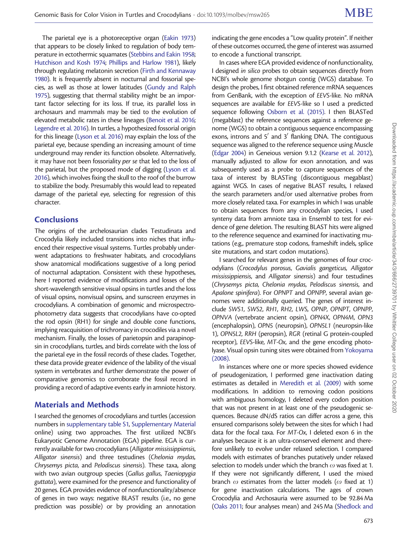The parietal eye is a photoreceptive organ [\(Eakin 1973](#page-9-0)) that appears to be closely linked to regulation of body temperature in ectothermic squamates [\(Stebbins and Eakin 1958;](#page-10-0) [Hutchison and Kosh 1974;](#page-10-0) [Phillips and Harlow 1981](#page-10-0)), likely through regulating melatonin secretion [\(Firth and Kennaway](#page-9-0) [1980\)](#page-9-0). It is frequently absent in nocturnal and fossorial species, as well as those at lower latitudes ([Gundy and Ralph](#page-9-0) [1975\)](#page-9-0), suggesting that thermal stability might be an important factor selecting for its loss. If true, its parallel loss in archosaurs and mammals may be tied to the evolution of elevated metabolic rates in these lineages ([Benoit et al. 2016;](#page-9-0) [Legendre et al. 2016\)](#page-10-0). In turtles, a hypothesized fossorial origin for this lineage ([Lyson et al. 2016](#page-10-0)) may explain the loss of the parietal eye, because spending an increasing amount of time underground may render its function obsolete. Alternatively, it may have not been fossoriality per se that led to the loss of the parietal, but the proposed mode of digging ([Lyson et al.](#page-10-0) [2016\)](#page-10-0), which involves fixing the skull to the roof of the burrow to stabilize the body. Presumably this would lead to repeated damage of the parietal eye, selecting for regression of this character.

## **Conclusions**

The origins of the archelosaurian clades Testudinata and Crocodylia likely included transitions into niches that influenced their respective visual systems. Turtles probably underwent adaptations to freshwater habitats, and crocodylians show anatomical modifications suggestive of a long period of nocturnal adaptation. Consistent with these hypotheses, here I reported evidence of modifications and losses of the short-wavelength sensitive visual opsins in turtles and the loss of visual opsins, nonvisual opsins, and sunscreen enzymes in crocodylians. A combination of genomic and microspectrophotometry data suggests that crocodylians have co-opted the rod opsin (RH1) for single and double cone functions, implying reacquisition of trichromacy in crocodiles via a novel mechanism. Finally, the losses of parietopsin and parapinopsin in crocodylians, turtles, and birds correlate with the loss of the parietal eye in the fossil records of these clades. Together, these data provide greater evidence of the lability of the visual system in vertebrates and further demonstrate the power of comparative genomics to corroborate the fossil record in providing a record of adaptive events early in amniote history.

## Materials and Methods

I searched the genomes of crocodylians and turtles (accession numbers in [supplementary table S1](http://mbe.oxfordjournals.org/lookup/suppl/doi:10.1093/molbev/msw265/-/DC1), [Supplementary Material](http://mbe.oxfordjournals.org/lookup/suppl/doi:10.1093/molbev/msw265/-/DC1) online) using two approaches. The first utilized NCBI's Eukaryotic Genome Annotation (EGA) pipeline. EGA is currently available for two crocodylians (Alligator mississippiensis, Alligator sinensis) and three testudines (Chelonia mydas, Chrysemys picta, and Pelodiscus sinensis). These taxa, along with two avian outgroup species (Gallus gallus, Taeniopygia guttata), were examined for the presence and functionality of 20 genes. EGA provides evidence of nonfunctionality/absence of genes in two ways: negative BLAST results (i.e., no gene prediction was possible) or by providing an annotation

indicating the gene encodes a "Low quality protein". If neither of these outcomes occurred, the gene of interest was assumed to encode a functional transcript.

In cases where EGA provided evidence of nonfunctionality, I designed in silico probes to obtain sequences directly from NCBI's whole genome shotgun contig (WGS) database. To design the probes, I first obtained reference mRNA sequences from GenBank, with the exception of EEVS-like. No mRNA sequences are available for EEVS-like so I used a predicted sequence following [Osborn et al. \(2015\)](#page-10-0). I then BLASTed (megablast) the reference sequences against a reference genome (WGS) to obtain a contiguous sequence encompassing exons, introns and  $5'$  and  $3'$  flanking DNA. The contiguous sequence was aligned to the reference sequence using Muscle [\(Edgar 2004](#page-9-0)) in Geneious version 9.1.2 [\(Kearse et al. 2012\)](#page-10-0), manually adjusted to allow for exon annotation, and was subsequently used as a probe to capture sequences of the taxa of interest by BLASTing (discontiguous megablast) against WGS. In cases of negative BLAST results, I relaxed the search parameters and/or used alternative probes from more closely related taxa. For examples in which I was unable to obtain sequences from any crocodylian species, I used synteny data from amniote taxa in Ensembl to test for evidence of gene deletion. The resulting BLAST hits were aligned to the reference sequence and examined for inactivating mutations (e.g., premature stop codons, frameshift indels, splice site mutations, and start codon mutations).

I searched for relevant genes in the genomes of four crocodylians (Crocodylus porosus, Gavialis gangeticus, Alligator mississippiensis, and Alligator sinensis) and four testudines (Chrysemys picta, Chelonia mydas, Pelodiscus sinensis, and Apalone spinifera). For OPNPT and OPNPP, several avian genomes were additionally queried. The genes of interest include SWS1, SWS2, RH1, RH2, LWS, OPNP, OPNPT, OPNPP, OPNVA (vertebrate ancient opsin), OPN4X, OPN4M, OPN3 (encephalopsin), OPN5 (neuropsin), OPN5L1 (neuropsin-like 1), OPN5L2, RRH (peropsin), RGR (retinal G protein-coupled receptor), EEVS-like, MT-Ox, and the gene encoding photolyase. Visual opsin tuning sites were obtained from [Yokoyama](#page-11-0) [\(2008\).](#page-11-0)

In instances where one or more species showed evidence of pseudogenization, I performed gene inactivation dating estimates as detailed in [Meredith et al. \(2009\)](#page-10-0) with some modifications. In addition to removing codon positions with ambiguous homology, I deleted every codon position that was not present in at least one of the pseudogenic sequences. Because dN/dS ratios can differ across a gene, this ensured comparisons solely between the sites for which I had data for the focal taxa. For MT-Ox, I deleted exon 6 in the analyses because it is an ultra-conserved element and therefore unlikely to evolve under relaxed selection. I compared models with estimates of branches putatively under relaxed selection to models under which the branch  $\omega$  was fixed at 1. If they were not significantly different, I used the mixed branch  $\omega$  estimates from the latter models ( $\omega$  fixed at 1) for gene inactivation calculations. The ages of crown Crocodylia and Archosauria were assumed to be 92.84 Ma [\(Oaks 2011](#page-10-0); four analyses mean) and 245 Ma [\(Shedlock and](#page-10-0)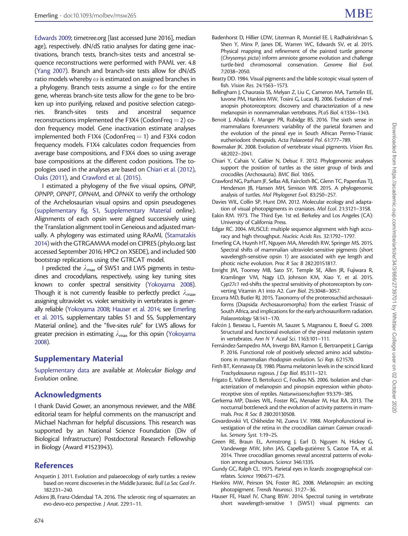<span id="page-9-0"></span>[Edwards 2009;](#page-10-0) timetree.org [last accessed June 2016], median age), respectively. dN/dS ratio analyses for dating gene inactivations, branch tests, branch-sites tests and ancestral sequence reconstructions were performed with PAML ver. 4.8 ([Yang 2007](#page-11-0)). Branch and branch-site tests allow for dN/dS ratio models whereby  $\omega$  is estimated on assigned branches in a phylogeny. Branch tests assume a single  $\omega$  for the entire gene, whereas branch-site tests allow for the gene to be broken up into purifying, relaxed and positive selection categories. Branch-sites tests and ancestral sequence reconstructions implemented the F3X4 (CodonFreq  $=$  2) codon frequency model. Gene inactivation estimate analyses implemented both F1X4 (CodonFreq  $=$  1) and F3X4 codon frequency models. F1X4 calculates codon frequencies from average base compositions, and F3X4 does so using average base compositions at the different codon positions. The topologies used in the analyses are based on Chiari et al. (2012), [Oaks \(2011\),](#page-10-0) and Crawford et al. (2015).

I estimated a phylogeny of the five visual opsins, OPNP, OPNPP, OPNPT, OPN4M, and OPN4X to verify the orthology of the Archelosaurian visual opsins and opsin pseudogenes ([supplementary fig. S1](http://mbe.oxfordjournals.org/lookup/suppl/doi:10.1093/molbev/msw265/-/DC1), [Supplementary Material](http://mbe.oxfordjournals.org/lookup/suppl/doi:10.1093/molbev/msw265/-/DC1) online). Alignments of each opsin were aligned successively using the Translation alignment tool in Geneious and adjusted manually. A phylogeny was estimated using RAxML [\(Stamatakis](#page-10-0) [2014\)](#page-10-0) with the GTRGAMMA model on CIPRES (phylo.org; last accessed September 2016; HPC2 on XSEDE), and included 500 bootstrap replications using the GTRCAT model.

I predicted the  $\lambda_{\text{max}}$  of SWS1 and LWS pigments in testudines and crocodylians, respectively, using key tuning sites known to confer spectral sensitivity [\(Yokoyama 2008\)](#page-11-0). Though it is not currently feasible to perfectly predict  $\lambda_{\text{max}}$ assigning ultraviolet vs. violet sensitivity in vertebrates is generally reliable [\(Yokoyama 2008](#page-11-0); Hauser et al. 2014; see Emerling et al. 2015, supplementary tables S1 and S5, Supplementary Material online), and the "five-sites rule" for LWS allows for greater precision in estimating  $\lambda_{\text{max}}$  for this opsin [\(Yokoyama](#page-11-0) [2008](#page-11-0)).

## Supplementary Material

[Supplementary data](http://mbe.oxfordjournals.org/lookup/suppl/doi:10.1093/molbev/msw265/-/DC1) are available at Molecular Biology and Evolution online.

## Acknowledgments

I thank David Gower, an anonymous reviewer, and the MBE editorial team for helpful comments on the manuscript and Michael Nachman for helpful discussions. This research was supported by an National Science Foundation (Div of Biological Infrastructure) Postdoctoral Research Fellowship in Biology (Award #1523943).

## References

- Anquetin J. 2011. Evolution and palaeoecology of early turtles: a review based on recent discoveries in the Middle Jurassic. Bull La Soc Geol Fr. 182:231–240.
- Atkins JB, Franz-Odendaal TA. 2016. The sclerotic ring of squamates: an evo-devo-eco perspective. J Anat. 229:1–11.
- Badenhorst D, Hillier LDW, Literman R, Montiel EE. l, Radhakrishnan S, Shen Y, Minx P, Janes DE, Warren WC, Edwards SV, et al. 2015. Physical mapping and refinement of the painted turtle genome (Chrysemys picta) inform amniote genome evolution and challenge turtle-bird chromosomal conservation. Genome Biol Evol. 7:2038–2050.
- Beatty DD. 1984. Visual pigments and the labile scotopic visual system of fish. Vision Res. 24:1563–1573.
- Bellingham J, Chaurasia SS, Melyan Z, Liu C, Cameron MA, Tarttelin EE, Iuvone PM, Hankins MW, Tosini G, Lucas RJ. 2006. Evolution of melanopsin photoreceptors: discovery and characterization of a new melanopsin in nonmammalian vertebrates. PLoS Biol. 4:1334–1343.
- Benoit J, Abdala F, Manger PR, Rubidge BS. 2016. The sixth sense in mammalians forerunners: variability of the parietal foramen and the evolution of the pineal eye in South African Permo-Triassic eutheriodont therapsids. Acta Palaeontol Pol. 61:777–789.
- Bowmaker JK. 2008. Evolution of vertebrate visual pigments. Vision Res. 48:2022–2041.
- Chiari Y, Cahais V, Galtier N, Delsuc F. 2012. Phylogenomic analyses support the position of turtles as the sister group of birds and crocodiles (Archosauria). BMC Biol. 10:65.
- Crawford NG, Parham JF, Sellas AB, Faircloth BC, Glenn TC, Papenfuss TJ, Henderson JB, Hansen MH, Simison WB. 2015. A phylogenomic analysis of turtles. Mol Phylogenet Evol. 83:250–257.
- Davies WIL, Collin SP, Hunt DM. 2012. Molecular ecology and adaptation of visual photopigments in craniates. Mol Ecol. 21:3121–3158.
- Eakin RM. 1973. The Third Eye. 1st ed. Berkeley and Los Angeles (CA): University of California Press.
- Edgar RC. 2004. MUSCLE: multiple sequence alignment with high accuracy and high throughput. Nucleic Acids Res. 32:1792–1797.
- Emerling CA, Huynh HT, Nguyen MA, Meredith RW, Springer MS. 2015. Spectral shifts of mammalian ultraviolet-sensitive pigments (short wavelength-sensitive opsin 1) are associated with eye length and photic niche evolution. Proc R Soc B 282:20151817.
- Enright JM, Toomey MB, Sato SY, Temple SE, Allen JR, Fujiwara R, Kramlinger VM, Nagy LD, Johnson KM, Xiao Y, et al. 2015. Cyp27c1 red-shifts the spectral sensitivity of photoreceptors by converting Vitamin A1 into A2. Curr Biol. 25:3048–3057.
- Ezcurra MD, Butler RJ. 2015. Taxonomy of the proterosuchid archosauriforms (Diapsida: Archosauromorpha) from the earliest Triassic of South Africa, and implications for the early archosauriform radiation. Palaeontology 58:141-170.
- Falcón J, Besseau L, Fuentès M, Sauzet S, Magnanou E, Boeuf G. 2009. Structural and functional evolution of the pineal melatonin system in vertebrates. Ann N Y Acad Sci. 1163:101–111.
- Fernández-Sampedro MA, Invergo BM, Ramon E, Bertranpetit J, Garriga P. 2016. Functional role of positively selected amino acid substitutions in mammalian rhodopsin evolution. Sci Rep. 6:21570.
- Firth BT, Kennaway DJ. 1980. Plasma melatonin levels in the scincid lizard Trachydosaurus rugosus. J Exp Biol. 85:311–321.
- Frigato E, Vallone D, Bertolucci C, Foulkes NS. 2006. Isolation and characterization of melanopsin and pinopsin expression within photoreceptive sites of reptiles. Naturwissenschaften 93:379–385.
- Gerkema MP, Davies WIL, Foster RG, Menaker M, Hut RA. 2013. The nocturnal bottleneck and the evolution of activity patterns in mammals. Proc R Soc B 280:20130508.
- Govardovskii VI, Chkheidze NI, Zueva LV. 1988. Morphofunctional investigation of the retina in the crocodilian caiman Caiman crocodilus. Sensory Syst. 1:19–25.
- Green RE, Braun EL, Armstrong J, Earl D, Nguyen N, Hickey G, Vandewege MW, John JAS, Capella-gutiérrez S, Castoe TA, et al. 2014. Three crocodilian genomes reveal ancestral patterns of evolution among archosaurs. Science 346:1335.
- Gundy GC, Ralph CL. 1975. Parietal eyes in lizards: zoogeographical correlates. Science 190:671–673.
- Hankins MW, Peirson SN, Foster RG. 2008. Melanopsin: an exciting photopigment. Trends Neurosci. 31:27–36.
- Hauser FE, Hazel IV, Chang BSW. 2014. Spectral tuning in vertebrate short wavelength-sensitive 1 (SWS1) visual pigments: can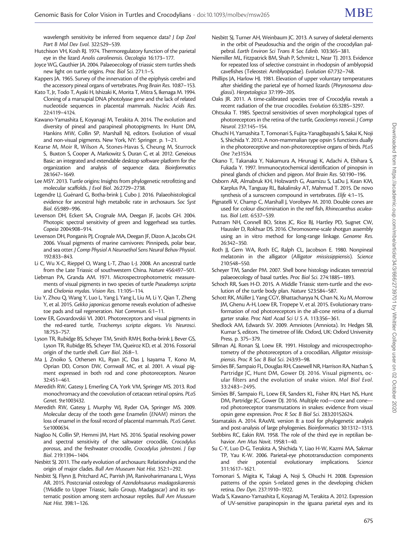<span id="page-10-0"></span>wavelength sensitivity be inferred from sequence data? J Exp Zool Part B Mol Dev Evol. 322:529–539.

- Hutchison VH, Kosh RJ. 1974. Thermoregulatory function of the parietal eye in the lizard Anolis carolinensis. Oecologia 16:173–177.
- Joyce WG, Gauthier JA. 2004. Palaeoecology of triassic stem turtles sheds new light on turtle origins. Proc Biol Sci. 271:1–5.
- Kappers JA. 1965. Survey of the innervation of the epiphysis cerebri and the accessory pineal organs of vertebrates. Prog Brain Res. 10:87–153.
- Kato T, Jr, Todo T, Ayaki H, Ishizaki K, Morita T, Mitra S, Ikenaga M. 1994. Cloning of a marsupial DNA photolyase gene and the lack of related nucleotide sequences in placental mammals. Nucleic Acids Res. 22:4119–4124.
- Kawano-Yamashita E, Koyanagi M, Terakita A. 2014. The evolution and diversity of pineal and parapineal photopigments. In: Hunt DM, Hankins MW, Collin SP, Marshall NJ, editors. Evolution of visual and non-visual pigments. New York, NY: Springer. p. 1–21.
- Kearse M, Moir R, Wilson A, Stones-Havas S, Cheung M, Sturrock S, Buxton S, Cooper A, Markowitz S, Duran C, et al. 2012. Geneious Basic: an integrated and extendable desktop software platform for the organization and analysis of sequence data. Bioinformatics 28:1647–1649.
- Lee MSY. 2013. Turtle origins: Insights from phylogenetic retrofitting and molecular scaffolds. J Evol Biol. 26:2729–2738.
- Legendre LJ, Guénard G, Botha-brink J, Cubo J, 2016. Palaeohistological evidence for ancestral high metabolic rate in archosaurs. Soc Syst Biol. 65:989–996.
- Levenson DH, Eckert SA, Crognale MA, Deegan JF, Jacobs GH. 2004. Photopic spectral sensitivity of green and loggerhead sea turtles. Copeia 2004:908–914.
- Levenson DH, Ponganis PJ, Crognale MA, Deegan JF, Dizon A, Jacobs GH. 2006. Visual pigments of marine carnivores: Pinnipeds, polar bear, and sea otter. J Comp Physiol A Neuroethol Sens Neural Behav Physiol. 192:833–843.
- Li C, Wu X-C, Rieppel O, Wang L-T, Zhao L-J. 2008. An ancestral turtle from the Late Triassic of southwestern China. Nature 456:497–501.
- Liebman PA, Granda AM. 1971. Microspectrophotometric measurements of visual pigments in two species of turtle Pseudemys scripta and Chelonia mydas. Vision Res. 11:105–114.
- Liu Y, Zhou Q, Wang Y, Luo L, Yang J, Yang L, Liu M, Li Y, Qian T, Zheng Y, et al. 2015. Gekko japonicus genome reveals evolution of adhesive toe pads and tail regeneration. Nat Commun. 6:1–11.
- Loew ER, Govardovskii VI. 2001. Photoreceptors and visual pigments in the red-eared turtle, Trachemys scripta elegans. Vis Neurosci. 18:753–757.
- Lyson TR, Rubidge BS, Scheyer TM, Smith RMH, Botha-brink J, Bever GS, Lyson TR, Rubidge BS, Scheyer TM, Queiroz KD, et al. 2016. Fossorial origin of the turtle shell. Curr Biol. 26:8–1.
- Ma J, Znoiko S, Othersen KL, Ryan JC, Das J, Isayama T, Kono M, Oprian DD, Corson DW, Cornwall MC, et al. 2001. A visual pigment expressed in both rod and cone photoreceptors. Neuron 32:451–461.
- Meredith RW, Gatesy J, Emerling CA, York VM, Springer MS. 2013. Rod monochromacy and the coevolution of cetacean retinal opsins. PLoS Genet. 9:e1003432.
- Meredith RW, Gatesy J, Murphy WJ, Ryder OA, Springer MS. 2009. Molecular decay of the tooth gene Enamelin (ENAM) mirrors the loss of enamel in the fossil record of placental mammals. PLoS Genet. 5:e1000634.
- Nagloo N, Collin SP, Hemmi JM, Hart NS. 2016. Spatial resolving power and spectral sensitivity of the saltwater crocodile, Crocodylus porosus, and the freshwater crocodile, Crocodylus johnstoni. J Exp Biol. 219:1394–1404.
- Nesbitt SJ. 2011. The early evolution of archosaurs: Relationships and the origin of major clades. Bull Am Museum Nat Hist. 352:1–292.
- Nesbitt SJ, Flynn JJ, Pritchard AC, Parrish JM, Ranivoharimanana L, Wyss AR. 2015. Postcranial osteology of Azendohsaurus madagaskarensis (?Middle to Upper Triassic, Isalo Group, Madagascar) and its systematic position among stem archosaur reptiles. Bull Am Museum Nat Hist. 398:1–126.
- Nesbitt SJ, Turner AH, Weinbaum JC. 2013. A survey of skeletal elements in the orbit of Pseudosuchia and the origin of the crocodylian palpebral. Earth Environ Sci Trans R Soc Edinb. 103:365–381.
- Niemiller ML, Fitzpatrick BM, Shah P, Schmitz L, Near TJ. 2013. Evidence for repeated loss of selective constraint in rhodopsin of amblyopsid cavefishes (Teleostei: Amblyopsidae). Evolution 67:732–748.
- Phillips JA, Harlow HJ. 1981. Elevation of upper voluntary temperatures after shielding the parietal eye of horned lizards (Phrynosoma douglassi). Herpetologica 37:199–205.
- Oaks JR. 2011. A time-calibrated species tree of Crocodylia reveals a recent radiation of the true crocodiles. Evolution 65:3285–3297.
- Ohtsuka T. 1985. Spectral sensitivities of seven morphological types of photoreceptors in the retina of the turtle, Geoclemys reevesii. J Comp Neurol. 237:145–154.
- Ohuchi H, Yamashita T, Tomonari S, Fujita-Yanagibayashi S, Sakai K, Noji S, Shichida Y. 2012. A non-mammalian type opsin 5 functions dually in the photoreceptive and non-photoreceptive organs of birds. PLoS One 7:e31534.
- Okano T, Takanaka Y, Nakamura A, Hirunagi K, Adachi A, Ebihara S, Fukada Y. 1997. Immunocytochemical identification of pinopsin in pineal glands of chicken and pigeon. Mol Brain Res. 50:190–196.
- Osborn AR, Almabruk KH, Holzwarth G, Asamizu S, LaDu J, Kean KM, Karplus PA, Tanguay RL, Bakalinsky AT, Mahmud T. 2015. De novo synthesis of a sunscreen compound in vertebrates. Elife 4:1–15.
- Pignatelli V, Champ C, Marshall J, Vorobyev M. 2010. Double cones are used for colour discrimination in the reef fish, Rhinecanthus aculeatus. Biol Lett. 6:537–539.
- Putnam NH, Connell BO, Stites JC, Rice BJ, Hartley PD, Sugnet CW, Haussler D, Rokhsar DS. 2016. Chromosome-scale shotgun assembly using an in vitro method for long-range linkage. Genome Res. 26:342–350.
- Roth JJ, Gern WA, Roth EC, Ralph CL, Jacobson E. 1980. Nonpineal melatonin in the alligator (Alligator mississippiensis). Science 210:548–550.
- Scheyer TM, Sander PM. 2007. Shell bone histology indicates terrestrial palaeoecology of basal turtles. Proc Biol Sci. 274:1885–1893.
- Schoch RR, Sues H-D. 2015. A Middle Triassic stem-turtle and the evolution of the turtle body plan. Nature 523:584–587.
- Schott RK, Müller J, Yang CGY, Bhattacharyya N, Chan N, Xu M, Morrow JM, Ghenu A-H, Loew ER, Tropepe V, et al. 2015. Evolutionary transformation of rod photoreceptors in the all-cone retina of a diurnal garter snake. Proc Natl Acad Sci U S A. 113:356–361.
- Shedlock AM, Edwards SV. 2009. Amniotes (Amniota). In: Hedges SB, Kumar S, editors. The timetree of life. Oxford, UK: Oxford University Press. p. 375–379.
- Sillman AJ, Ronan SJ, Loew ER. 1991. Histology and microspectrophotometry of the photoreceptors of a crocodilian, Alligator mississippiensis. Proc R Soc B Biol Sci. 243:93–98.
- Simões BF, Sampaio FL, Douglas RH, Casewell NR, Harrison RA, Nathan S, Partridge JC, Hunt DM, Gower DJ. 2016. Visual pigments, ocular filters and the evolution of snake vision. Mol Biol Evol. 33:2483–2495.
- Simões BF, Sampaio FL, Loew ER, Sanders KL, Fisher RN, Hart NS, Hunt DM, Partridge JC, Gower DJ. 2016. Multiple rod—cone and cone rod photoreceptor transmutations in snakes: evidence from visual opsin gene expression. Proc R Soc B Biol Sci. 283:20152624.
- Stamatakis A. 2014. RAxML version 8: a tool for phylogenetic analysis and post-analysis of large phylogenies. Bioinformatics 30:1312–1313.
- Stebbins RC, Eakin RM. 1958. The role of the third eye in reptilian behavior. Am Mus Novit. 1958:1–40.
- Su C-Y, Luo D-G, Terakita A, Shichida Y, Liao H-W, Kazmi MA, Sakmar TP, Yau K-W. 2006. Parietal-eye phototransduction components and their potential evolutionary implications. Science 311:1617–1621.
- Tomonari S, Migita K, Takagi A, Noji S, Ohuchi H. 2008. Expression patterns of the opsin 5-related genes in the developing chicken retina. Dev Dyn. 237:1910–1922.
- Wada S, Kawano-Yamashita E, Koyanagi M, Terakita A. 2012. Expression of UV-sensitive parapinopsin in the iguana parietal eyes and its